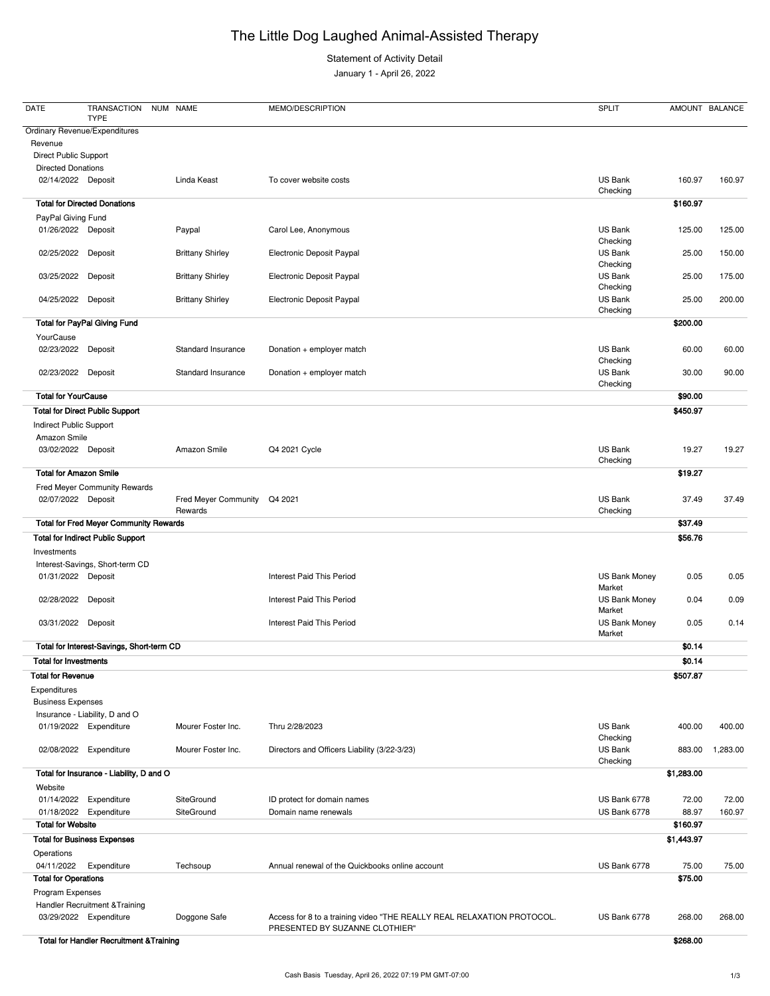## The Little Dog Laughed Animal-Assisted Therapy

Statement of Activity Detail

January 1 - April 26, 2022

| <b>DATE</b>                      | TRANSACTION<br><b>TYPE</b>                    | NUM NAME                                | MEMO/DESCRIPTION                             | <b>SPLIT</b>                   |            | AMOUNT BALANCE |
|----------------------------------|-----------------------------------------------|-----------------------------------------|----------------------------------------------|--------------------------------|------------|----------------|
| Revenue<br>Direct Public Support | <b>Ordinary Revenue/Expenditures</b>          |                                         |                                              |                                |            |                |
| <b>Directed Donations</b>        |                                               |                                         |                                              |                                |            |                |
|                                  | 02/14/2022 Deposit                            | Linda Keast                             | To cover website costs                       | US Bank<br>Checking            | 160.97     | 160.97         |
|                                  | <b>Total for Directed Donations</b>           |                                         |                                              |                                | \$160.97   |                |
| PayPal Giving Fund               |                                               |                                         |                                              |                                |            |                |
|                                  | 01/26/2022 Deposit                            | Paypal                                  | Carol Lee, Anonymous                         | US Bank<br>Checking            | 125.00     | 125.00         |
| 02/25/2022                       | Deposit                                       | <b>Brittany Shirley</b>                 | Electronic Deposit Paypal                    | US Bank<br>Checking            | 25.00      | 150.00         |
| 03/25/2022                       | Deposit                                       | <b>Brittany Shirley</b>                 | Electronic Deposit Paypal                    | <b>US Bank</b><br>Checking     | 25.00      | 175.00         |
| 04/25/2022                       | Deposit                                       | <b>Brittany Shirley</b>                 | Electronic Deposit Paypal                    | US Bank<br>Checking            | 25.00      | 200.00         |
|                                  | <b>Total for PayPal Giving Fund</b>           |                                         |                                              |                                | \$200.00   |                |
| YourCause                        |                                               |                                         |                                              |                                |            |                |
| 02/23/2022                       | Deposit                                       | Standard Insurance                      | Donation + employer match                    | US Bank<br>Checking            | 60.00      | 60.00          |
| 02/23/2022                       | Deposit                                       | <b>Standard Insurance</b>               | Donation + employer match                    | US Bank<br>Checking            | 30.00      | 90.00          |
| <b>Total for YourCause</b>       |                                               |                                         |                                              |                                | \$90.00    |                |
|                                  | <b>Total for Direct Public Support</b>        |                                         |                                              |                                | \$450.97   |                |
| Indirect Public Support          |                                               |                                         |                                              |                                |            |                |
| Amazon Smile                     |                                               |                                         |                                              |                                |            |                |
|                                  | 03/02/2022 Deposit                            | Amazon Smile                            | Q4 2021 Cycle                                | US Bank<br>Checking            | 19.27      | 19.27          |
|                                  | <b>Total for Amazon Smile</b>                 |                                         |                                              |                                | \$19.27    |                |
|                                  | Fred Meyer Community Rewards                  |                                         |                                              |                                |            |                |
|                                  | 02/07/2022 Deposit                            | Fred Meyer Community Q4 2021<br>Rewards |                                              | US Bank<br>Checking            | 37.49      | 37.49          |
|                                  | <b>Total for Fred Meyer Community Rewards</b> |                                         |                                              |                                | \$37.49    |                |
|                                  | <b>Total for Indirect Public Support</b>      |                                         |                                              |                                | \$56.76    |                |
| Investments                      | Interest-Savings, Short-term CD               |                                         |                                              |                                |            |                |
|                                  | 01/31/2022 Deposit                            |                                         | <b>Interest Paid This Period</b>             | US Bank Money<br>Market        | 0.05       | 0.05           |
| 02/28/2022                       | Deposit                                       |                                         | <b>Interest Paid This Period</b>             | <b>US Bank Money</b><br>Market | 0.04       | 0.09           |
| 03/31/2022                       | Deposit                                       |                                         | <b>Interest Paid This Period</b>             | <b>US Bank Money</b><br>Market | 0.05       | 0.14           |
|                                  | Total for Interest-Savings, Short-term CD     |                                         |                                              |                                | \$0.14     |                |
| <b>Total for Investments</b>     |                                               |                                         |                                              |                                | \$0.14     |                |
| <b>Total for Revenue</b>         |                                               |                                         |                                              |                                | \$507.87   |                |
| Expenditures                     |                                               |                                         |                                              |                                |            |                |
| <b>Business Expenses</b>         |                                               |                                         |                                              |                                |            |                |
|                                  | Insurance - Liability, D and O                |                                         |                                              |                                |            |                |
|                                  | 01/19/2022 Expenditure                        | Mourer Foster Inc.                      | Thru 2/28/2023                               | <b>US Bank</b><br>Checking     | 400.00     | 400.00         |
| 02/08/2022                       | Expenditure                                   | Mourer Foster Inc.                      | Directors and Officers Liability (3/22-3/23) | US Bank<br>Checking            | 883.00     | 1,283.00       |
|                                  | Total for Insurance - Liability, D and O      |                                         |                                              |                                | \$1,283.00 |                |

Website

| 01/14/2022<br>Expenditure                           | SiteGround   | ID protect for domain names                                                                              | US Bank 6778 | 72.00      | 72.00  |
|-----------------------------------------------------|--------------|----------------------------------------------------------------------------------------------------------|--------------|------------|--------|
| Expenditure<br>01/18/2022                           | SiteGround   | Domain name renewals                                                                                     | US Bank 6778 | 88.97      | 160.97 |
| <b>Total for Website</b>                            |              |                                                                                                          |              | \$160.97   |        |
| <b>Total for Business Expenses</b>                  |              |                                                                                                          |              | \$1,443.97 |        |
| Operations                                          |              |                                                                                                          |              |            |        |
| 04/11/2022<br>Expenditure                           | Techsoup     | Annual renewal of the Quickbooks online account                                                          | US Bank 6778 | 75.00      | 75.00  |
| <b>Total for Operations</b>                         |              |                                                                                                          |              | \$75.00    |        |
| Program Expenses                                    |              |                                                                                                          |              |            |        |
| Handler Recruitment & Training                      |              |                                                                                                          |              |            |        |
| 03/29/2022<br>Expenditure                           | Doggone Safe | Access for 8 to a training video "THE REALLY REAL RELAXATION PROTOCOL.<br>PRESENTED BY SUZANNE CLOTHIER" | US Bank 6778 | 268.00     | 268.00 |
| <b>Total for Handler Recruitment &amp; Training</b> |              |                                                                                                          |              | \$268.00   |        |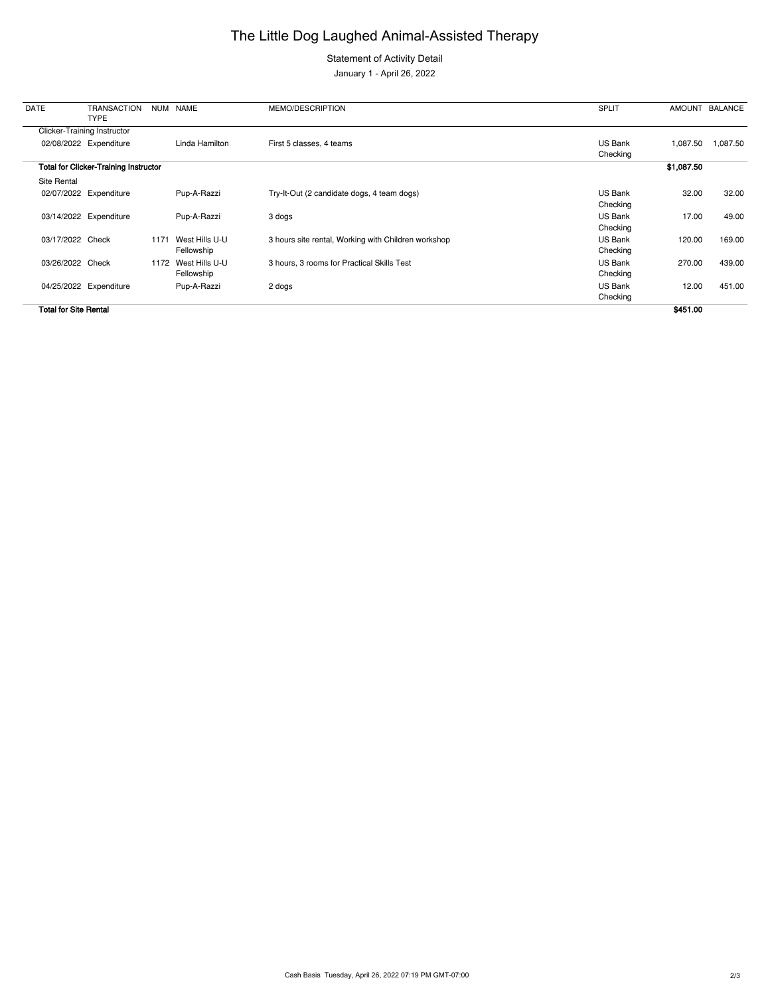## The Little Dog Laughed Animal-Assisted Therapy

Statement of Activity Detail

January 1 - April 26, 2022

Cash Basis Tuesday, April 26, 2022 07:19 PM GMT-07:00 2/3

| <b>DATE</b>                  | <b>TRANSACTION</b><br><b>TYPE</b>            | <b>NUM</b> | <b>NAME</b>                  | MEMO/DESCRIPTION                                    | <b>SPLIT</b>        |            | AMOUNT BALANCE |
|------------------------------|----------------------------------------------|------------|------------------------------|-----------------------------------------------------|---------------------|------------|----------------|
|                              | <b>Clicker-Training Instructor</b>           |            |                              |                                                     |                     |            |                |
|                              | 02/08/2022 Expenditure                       |            | Linda Hamilton               | First 5 classes, 4 teams                            | US Bank<br>Checking | 1,087.50   | 1,087.50       |
|                              | <b>Total for Clicker-Training Instructor</b> |            |                              |                                                     |                     | \$1,087.50 |                |
| Site Rental                  |                                              |            |                              |                                                     |                     |            |                |
|                              | 02/07/2022 Expenditure                       |            | Pup-A-Razzi                  | Try-It-Out (2 candidate dogs, 4 team dogs)          | US Bank<br>Checking | 32.00      | 32.00          |
|                              | 03/14/2022 Expenditure                       |            | Pup-A-Razzi                  | 3 dogs                                              | US Bank<br>Checking | 17.00      | 49.00          |
| 03/17/2022 Check             |                                              | 1171       | West Hills U-U<br>Fellowship | 3 hours site rental, Working with Children workshop | US Bank<br>Checking | 120.00     | 169.00         |
| 03/26/2022 Check             |                                              | 1172       | West Hills U-U<br>Fellowship | 3 hours, 3 rooms for Practical Skills Test          | US Bank<br>Checking | 270.00     | 439.00         |
|                              | 04/25/2022 Expenditure                       |            | Pup-A-Razzi                  | 2 dogs                                              | US Bank<br>Checking | 12.00      | 451.00         |
| <b>Total for Site Rental</b> |                                              |            |                              |                                                     |                     | \$451.00   |                |